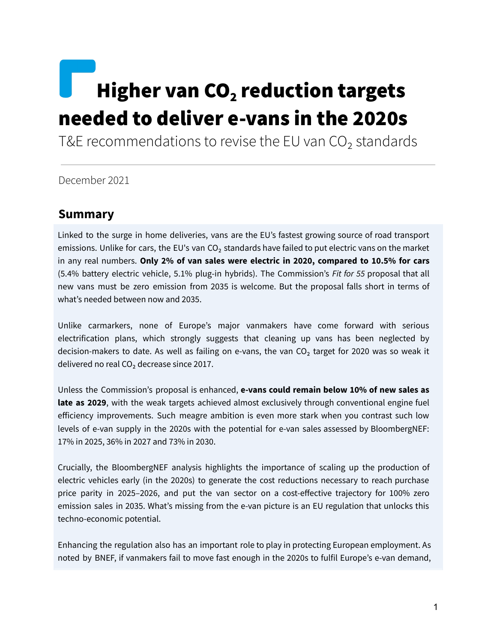# Higher van  $CO<sub>2</sub>$  reduction targets needed to deliver e-vans in the 2020s

T&E recommendations to revise the EU van  $CO<sub>2</sub>$  standards

December 2021

# **Summary**

Linked to the surge in home deliveries, vans are the EU's fastest growing source of road transport emissions. Unlike for cars, the EU's van CO<sub>2</sub> standards have failed to put electric vans on the market in any real numbers. **Only 2% of van sales were electric in 2020, compared to 10.5% for cars** (5.4% battery electric vehicle, 5.1% plug-in hybrids). The Commission's *Fit for 55* proposal that all new vans must be zero emission from 2035 is welcome. But the proposal falls short in terms of what's needed between now and 2035.

Unlike carmarkers, none of Europe's major vanmakers have come forward with serious electrification plans, which strongly suggests that cleaning up vans has been neglected by decision-makers to date. As well as failing on e-vans, the van  $CO<sub>2</sub>$  target for 2020 was so weak it delivered no real  $CO<sub>2</sub>$  decrease since 2017.

Unless the Commission's proposal is enhanced, **e-vans could remain below 10% of new sales as late as 2029**, with the weak targets achieved almost exclusively through conventional engine fuel efficiency improvements. Such meagre ambition is even more stark when you contrast such low levels of e-van supply in the 2020s with the potential for e-van sales assessed by BloombergNEF: 17% in 2025, 36% in 2027 and 73% in 2030.

Crucially, the BloombergNEF analysis highlights the importance of scaling up the production of electric vehicles early (in the 2020s) to generate the cost reductions necessary to reach purchase price parity in 2025–2026, and put the van sector on a cost-effective trajectory for 100% zero emission sales in 2035. What's missing from the e-van picture is an EU regulation that unlocks this techno-economic potential.

Enhancing the regulation also has an important role to play in protecting European employment. As noted by BNEF, if vanmakers fail to move fast enough in the 2020s to fulfil Europe's e-van demand,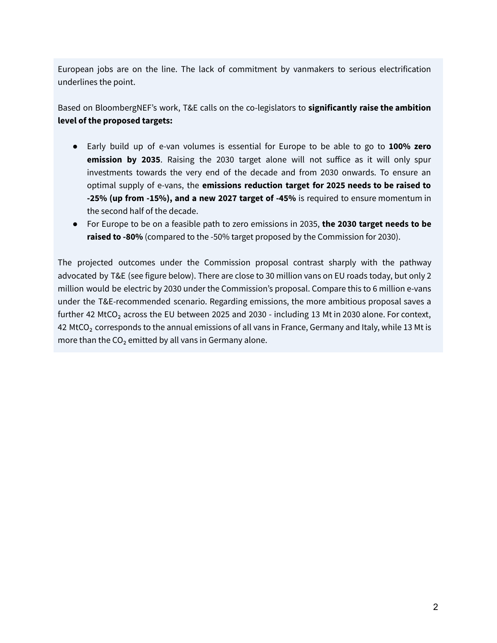European jobs are on the line. The lack of commitment by vanmakers to serious electrification underlines the point.

Based on BloombergNEF's work, T&E calls on the co-legislators to **significantly raise the ambition level of the proposed targets:**

- Early build up of e-van volumes is essential for Europe to be able to go to **100% zero emission by 2035**. Raising the 2030 target alone will not suffice as it will only spur investments towards the very end of the decade and from 2030 onwards. To ensure an optimal supply of e-vans, the **emissions reduction target for 2025 needs to be raised to -25% (up from -15%), and a new 2027 target of -45%** is required to ensure momentum in the second half of the decade.
- For Europe to be on a feasible path to zero emissions in 2035, **the 2030 target needs to be raised to -80%** (compared to the -50% target proposed by the Commission for 2030).

The projected outcomes under the Commission proposal contrast sharply with the pathway advocated by T&E (see figure below). There are close to 30 million vans on EU roads today, but only 2 million would be electric by 2030 under the Commission's proposal. Compare this to 6 million e-vans under the T&E-recommended scenario. Regarding emissions, the more ambitious proposal saves a further 42 MtCO<sub>2</sub> across the EU between 2025 and 2030 - including 13 Mt in 2030 alone. For context, 42 MtCO<sub>2</sub> corresponds to the annual emissions of all vans in France, Germany and Italy, while 13 Mt is more than the  $CO<sub>2</sub>$  emitted by all vans in Germany alone.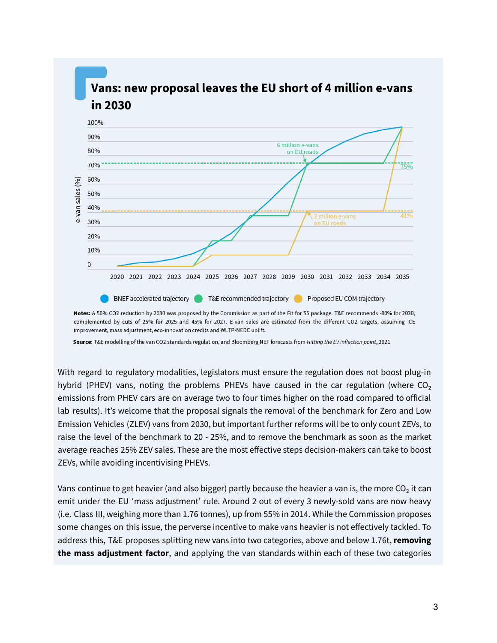

Notes: A 50% CO2 reduction by 2030 was proposed by the Commission as part of the Fit for 55 package. T&E recommends -80% for 2030, complemented by cuts of 25% for 2025 and 45% for 2027. E-van sales are estimated from the different CO2 targets, assuming ICE improvement, mass adjustment, eco-innovation credits and WLTP-NEDC uplift.

Source: T&E modelling of the van CO2 standards regulation, and Bloomberg NEF forecasts from Hitting the EV inflection point, 2021

With regard to regulatory modalities, legislators must ensure the regulation does not boost plug-in hybrid (PHEV) vans, noting the problems PHEVs have caused in the car regulation (where  $CO<sub>2</sub>$ emissions from PHEV cars are on average two to four times higher on the road compared to official lab results). It's welcome that the proposal signals the removal of the benchmark for Zero and Low Emission Vehicles (ZLEV) vans from 2030, but important further reforms will be to only count ZEVs, to raise the level of the benchmark to 20 - 25%, and to remove the benchmark as soon as the market average reaches 25% ZEV sales. These are the most effective steps decision-makers can take to boost ZEVs, while avoiding incentivising PHEVs.

Vans continue to get heavier (and also bigger) partly because the heavier a van is, the more CO<sub>2</sub> it can emit under the EU 'mass adjustment' rule. Around 2 out of every 3 newly-sold vans are now heavy (i.e. Class III, weighing more than 1.76 tonnes), up from 55% in 2014. While the Commission proposes some changes on this issue, the perverse incentive to make vans heavier is not effectively tackled. To address this, T&E proposes splitting new vans into two categories, above and below 1.76t, **removing the mass adjustment factor**, and applying the van standards within each of these two categories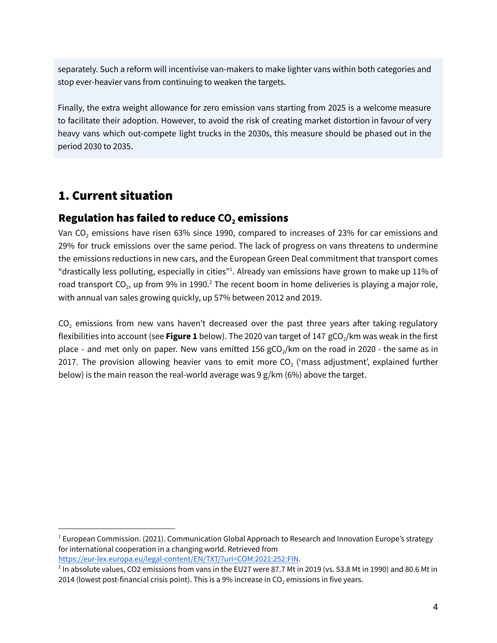separately. Such a reform will incentivise van-makers to make lighter vans within both categories and stop ever-heavier vans from continuing to weaken the targets.

Finally, the extra weight allowance for zero emission vans starting from 2025 is a welcome measure to facilitate their adoption. However, to avoid the risk of creating market distortion in favour of very heavy vans which out-compete light trucks in the 2030s, this measure should be phased out in the period 2030 to 2035.

# 1. Current situation

# Regulation has failed to reduce **CO<sup>2</sup>** emissions

Van CO<sub>2</sub> emissions have risen 63% since 1990, compared to increases of 23% for car emissions and 29% for truck emissions over the same period. The lack of progress on vans threatens to undermine the emissions reductions in new cars, and the European Green Deal commitment that transport comes "drastically less polluting, especially in cities"<sup>1</sup>. Already van emissions have grown to make up 11% of road transport CO<sub>2</sub>, up from 9% in 1990.<sup>2</sup> The recent boom in home deliveries is playing a major role, with annual van sales growing quickly, up 57% between 2012 and 2019.

 $CO<sub>2</sub>$  emissions from new vans haven't decreased over the past three years after taking regulatory flexibilities into account (see Figure 1 below). The 2020 van target of 147 gCO<sub>2</sub>/km was weak in the first place - and met only on paper. New vans emitted 156 gCO<sub>2</sub>/km on the road in 2020 - the same as in 2017. The provision allowing heavier vans to emit more  $CO<sub>2</sub>$  ('mass adjustment', explained further below) is the main reason the real-world average was 9 g/km (6%) above the target.

<https://eur-lex.europa.eu/legal-content/EN/TXT/?uri=COM:2021:252:FIN>.

 $1$  European Commission. (2021). Communication Global Approach to Research and Innovation Europe's strategy for international cooperation in a changing world. Retrieved from

 $^2$  In absolute values, CO2 emissions from vans in the EU27 were 87.7 Mt in 2019 (vs. 53.8 Mt in 1990) and 80.6 Mt in 2014 (lowest post-financial crisis point). This is a 9% increase in  $CO<sub>2</sub>$  emissions in five years.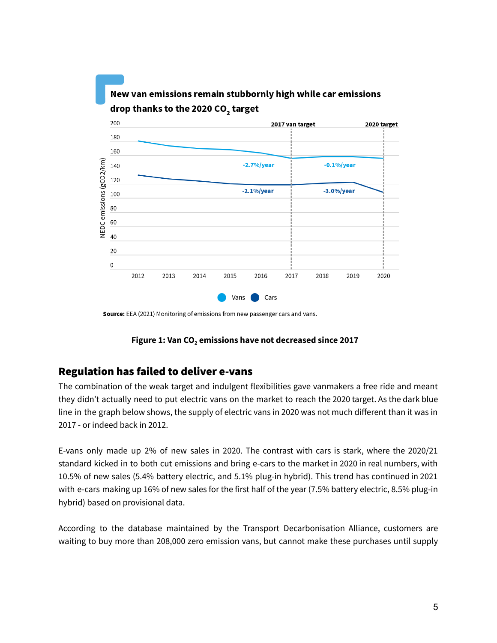

Source: EEA (2021) Monitoring of emissions from new passenger cars and vans.

#### **Figure 1: Van CO<sup>2</sup> emissions have not decreased since 2017**

### Regulation has failed to deliver e-vans

The combination of the weak target and indulgent flexibilities gave vanmakers a free ride and meant they didn't actually need to put electric vans on the market to reach the 2020 target. As the dark blue line in the graph below shows, the supply of electric vans in 2020 was not much different than it was in 2017 - or indeed back in 2012.

E-vans only made up 2% of new sales in 2020. The contrast with cars is stark, where the 2020/21 standard kicked in to both cut emissions and bring e-cars to the market in 2020 in real numbers, with 10.5% of new sales (5.4% battery electric, and 5.1% plug-in hybrid). This trend has continued in 2021 with e-cars making up 16% of new sales for the first half of the year (7.5% battery electric, 8.5% plug-in hybrid) based on provisional data.

According to the database maintained by the Transport Decarbonisation Alliance, customers are waiting to buy more than 208,000 zero emission vans, but cannot make these purchases until supply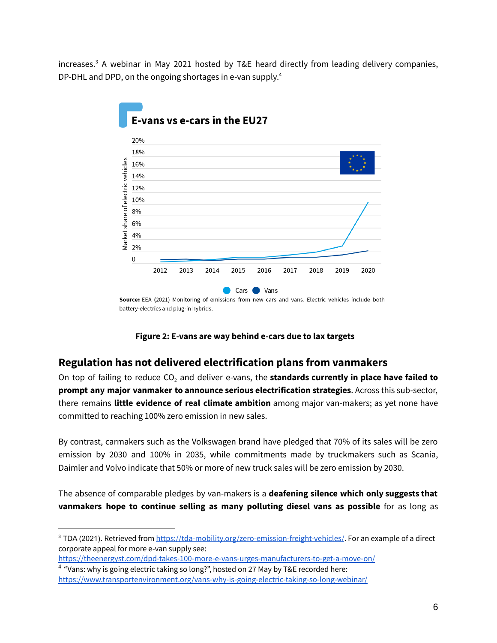increases. <sup>3</sup> A webinar in May 2021 hosted by T&E heard directly from leading delivery companies, DP-DHL and DPD, on the ongoing shortages in e-van supply.<sup>4</sup>



Source: EEA (2021) Monitoring of emissions from new cars and vans. Electric vehicles include both battery-electrics and plug-in hybrids.



## **Regulation has not delivered electrification plans from vanmakers**

On top of failing to reduce CO<sup>2</sup> and deliver e-vans, the **standards currently in place have failed to prompt any major vanmaker to announce serious electrification strategies**. Across this sub-sector, there remains **little evidence of real climate ambition** among major van-makers; as yet none have committed to reaching 100% zero emission in new sales.

By contrast, carmakers such as the Volkswagen brand have pledged that 70% of its sales will be zero emission by 2030 and 100% in 2035, while commitments made by truckmakers such as Scania, Daimler and Volvo indicate that 50% or more of new truck sales will be zero emission by 2030.

The absence of comparable pledges by van-makers is a **deafening silence which only suggests that vanmakers hope to continue selling as many polluting diesel vans as possible** for as long as

<sup>&</sup>lt;sup>3</sup> TDA (2021). Retrieved from <https://tda-mobility.org/zero-emission-freight-vehicles/>. For an example of a direct corporate appeal for more e-van supply see:

<https://theenergyst.com/dpd-takes-100-more-e-vans-urges-manufacturers-to-get-a-move-on/>

<sup>&</sup>lt;sup>4</sup> "Vans: why is going electric taking so long?", hosted on 27 May by T&E recorded here: <https://www.transportenvironment.org/vans-why-is-going-electric-taking-so-long-webinar/>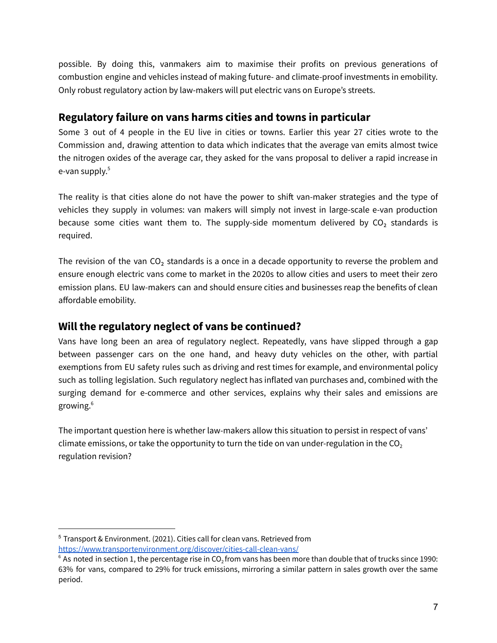possible. By doing this, vanmakers aim to maximise their profits on previous generations of combustion engine and vehicles instead of making future- and climate-proof investments in emobility. Only robust regulatory action by law-makers will put electric vans on Europe's streets.

# **Regulatory failure on vans harms cities and towns in particular**

Some 3 out of 4 people in the EU live in cities or towns. Earlier this year 27 cities wrote to the Commission and, drawing attention to data which indicates that the average van emits almost twice the nitrogen oxides of the average car, they asked for the vans proposal to deliver a rapid increase in e-van supply. 5

The reality is that cities alone do not have the power to shift van-maker strategies and the type of vehicles they supply in volumes: van makers will simply not invest in large-scale e-van production because some cities want them to. The supply-side momentum delivered by  $CO<sub>2</sub>$  standards is required.

The revision of the van  $CO<sub>2</sub>$  standards is a once in a decade opportunity to reverse the problem and ensure enough electric vans come to market in the 2020s to allow cities and users to meet their zero emission plans. EU law-makers can and should ensure cities and businesses reap the benefits of clean affordable emobility.

# **Will the regulatory neglect of vans be continued?**

Vans have long been an area of regulatory neglect. Repeatedly, vans have slipped through a gap between passenger cars on the one hand, and heavy duty vehicles on the other, with partial exemptions from EU safety rules such as driving and rest times for example, and environmental policy such as tolling legislation. Such regulatory neglect has inflated van purchases and, combined with the surging demand for e-commerce and other services, explains why their sales and emissions are growing. 6

The important question here is whether law-makers allow this situation to persist in respect of vans' climate emissions, or take the opportunity to turn the tide on van under-regulation in the  $CO<sub>2</sub>$ regulation revision?

<sup>5</sup> Transport & Environment. (2021). Cities call for clean vans. Retrieved from <https://www.transportenvironment.org/discover/cities-call-clean-vans/>

 $^6$  As noted in section 1, the percentage rise in CO $_2$ from vans has been more than double that of trucks since 1990: 63% for vans, compared to 29% for truck emissions, mirroring a similar pattern in sales growth over the same period.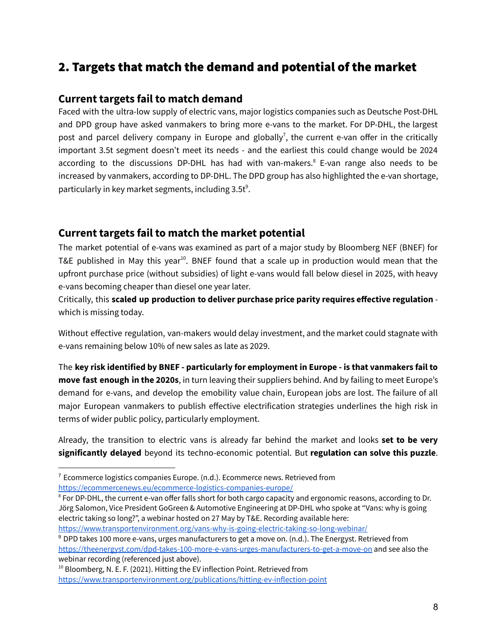# 2. Targets that match the demand and potential of the market

### **Current targets fail to match demand**

Faced with the ultra-low supply of electric vans, major logistics companies such as Deutsche Post-DHL and DPD group have asked vanmakers to bring more e-vans to the market. For DP-DHL, the largest post and parcel delivery company in Europe and globally<sup>7</sup>, the current e-van offer in the critically important 3.5t segment doesn't meet its needs - and the earliest this could change would be 2024 according to the discussions DP-DHL has had with van-makers.<sup>8</sup> E-van range also needs to be increased by vanmakers, according to DP-DHL. The DPD group has also highlighted the e-van shortage, particularly in key market segments, including 3.5t<sup>9</sup>.

### **Current targets fail to match the market potential**

The market potential of e-vans was examined as part of a major study by Bloomberg NEF (BNEF) for T&E published in May this year<sup>10</sup>. BNEF found that a scale up in production would mean that the upfront purchase price (without subsidies) of light e-vans would fall below diesel in 2025, with heavy e-vans becoming cheaper than diesel one year later.

Critically, this **scaled up production to deliver purchase price parity requires effective regulation** which is missing today.

Without effective regulation, van-makers would delay investment, and the market could stagnate with e-vans remaining below 10% of new sales as late as 2029.

The **key risk identified by BNEF - particularly for employment in Europe - is that vanmakers fail to move fast enough in the 2020s**, in turn leaving their suppliers behind. And by failing to meet Europe's demand for e-vans, and develop the emobility value chain, European jobs are lost. The failure of all major European vanmakers to publish effective electrification strategies underlines the high risk in terms of wider public policy, particularly employment.

Already, the transition to electric vans is already far behind the market and looks **set to be very significantly delayed** beyond its techno-economic potential. But **regulation can solve this puzzle**.

<https://www.transportenvironment.org/vans-why-is-going-electric-taking-so-long-webinar/>

 $7$  Ecommerce logistics companies Europe. (n.d.). Ecommerce news. Retrieved from <https://ecommercenews.eu/ecommerce-logistics-companies-europe/>

<sup>&</sup>lt;sup>8</sup> For DP-DHL, the current e-van offer falls short for both cargo capacity and ergonomic reasons, according to Dr. Jörg Salomon, Vice President GoGreen & Automotive Engineering at DP-DHL who spoke at "Vans: why is going electric taking so long?", a webinar hosted on 27 May by T&E. Recording available here:

<sup>&</sup>lt;sup>9</sup> DPD takes 100 more e-vans, urges manufacturers to get a move on. (n.d.). The Energyst. Retrieved from <https://theenergyst.com/dpd-takes-100-more-e-vans-urges-manufacturers-to-get-a-move-on> and see also the webinar recording (referenced just above).

<sup>&</sup>lt;sup>10</sup> Bloomberg, N. E. F. (2021). Hitting the EV inflection Point. Retrieved from <https://www.transportenvironment.org/publications/hitting-ev-inflection-point>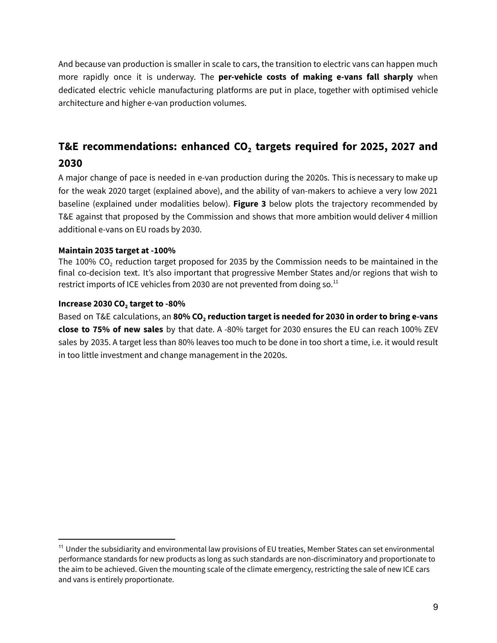And because van production is smaller in scale to cars, the transition to electric vans can happen much more rapidly once it is underway. The **per-vehicle costs of making e-vans fall sharply** when dedicated electric vehicle manufacturing platforms are put in place, together with optimised vehicle architecture and higher e-van production volumes.

# **T&E recommendations: enhanced CO<sup>2</sup> targets required for 2025, 2027 and 2030**

A major change of pace is needed in e-van production during the 2020s. This is necessary to make up for the weak 2020 target (explained above), and the ability of van-makers to achieve a very low 2021 baseline (explained under modalities below). **Figure 3** below plots the trajectory recommended by T&E against that proposed by the Commission and shows that more ambition would deliver 4 million additional e-vans on EU roads by 2030.

### **Maintain 2035 target at -100%**

The 100%  $CO<sub>2</sub>$  reduction target proposed for 2035 by the Commission needs to be maintained in the final co-decision text. It's also important that progressive Member States and/or regions that wish to restrict imports of ICE vehicles from 2030 are not prevented from doing so. $^{\rm 11}$ 

### **Increase 2030 CO<sup>2</sup> target to -80%**

Based on T&E calculations, an **80% CO<sup>2</sup> reduction target is needed for 2030 in order to bring e-vans close to 75% of new sales** by that date. A -80% target for 2030 ensures the EU can reach 100% ZEV sales by 2035. A target less than 80% leaves too much to be done in too short a time, i.e. it would result in too little investment and change management in the 2020s.

<sup>&</sup>lt;sup>11</sup> Under the subsidiarity and environmental law provisions of EU treaties, Member States can set environmental performance standards for new products as long as such standards are non-discriminatory and proportionate to the aim to be achieved. Given the mounting scale of the climate emergency, restricting the sale of new ICE cars and vans is entirely proportionate.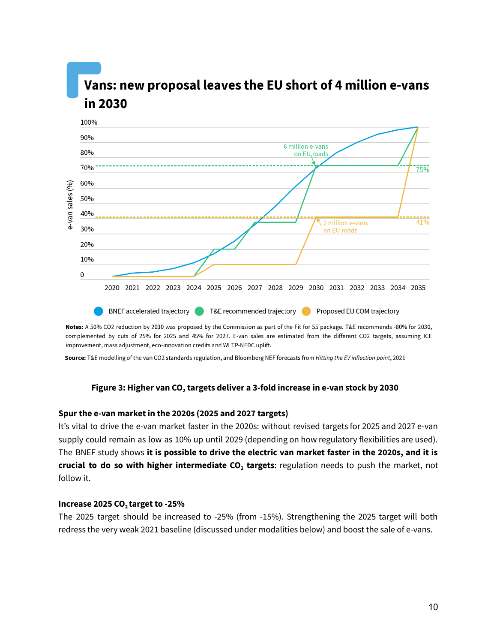# Vans: new proposal leaves the EU short of 4 million e-vans in 2030



Notes: A 50% CO2 reduction by 2030 was proposed by the Commission as part of the Fit for 55 package. T&E recommends -80% for 2030, complemented by cuts of 25% for 2025 and 45% for 2027. E-van sales are estimated from the different CO2 targets, assuming ICE improvement, mass adjustment, eco-innovation credits and WLTP-NEDC uplift.

Source: T&E modelling of the van CO2 standards regulation, and Bloomberg NEF forecasts from Hitting the EV inflection point, 2021

### **Figure 3: Higher van CO<sup>2</sup> targets deliver a 3-fold increase in e-van stock by 2030**

### **Spur the e-van market in the 2020s (2025 and 2027 targets)**

It's vital to drive the e-van market faster in the 2020s: without revised targets for 2025 and 2027 e-van supply could remain as low as 10% up until 2029 (depending on how regulatory flexibilities are used). The BNEF study shows **it is possible to drive the electric van market faster in the 2020s, and it is crucial to do so with higher intermediate CO<sup>2</sup> targets**: regulation needs to push the market, not follow it.

### **Increase 2025 CO<sup>2</sup> target to -25%**

The 2025 target should be increased to -25% (from -15%). Strengthening the 2025 target will both redress the very weak 2021 baseline (discussed under modalities below) and boost the sale of e-vans.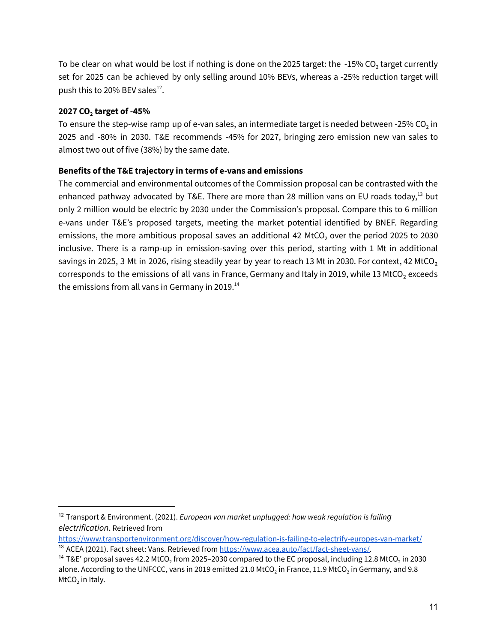To be clear on what would be lost if nothing is done on the 2025 target: the  $-15\%$  CO<sub>2</sub> target currently set for 2025 can be achieved by only selling around 10% BEVs, whereas a -25% reduction target will push this to 20% BEV sales<sup>12</sup>.

### **2027 CO<sup>2</sup> target of -45%**

To ensure the step-wise ramp up of e-van sales, an intermediate target is needed between -25% CO $_{\rm 2}$  in 2025 and -80% in 2030. T&E recommends -45% for 2027, bringing zero emission new van sales to almost two out of five (38%) by the same date.

### **Benefits of the T&E trajectory in terms of e-vans and emissions**

The commercial and environmental outcomes of the Commission proposal can be contrasted with the enhanced pathway advocated by T&E. There are more than 28 million vans on EU roads today,<sup>13</sup> but only 2 million would be electric by 2030 under the Commission's proposal. Compare this to 6 million e-vans under T&E's proposed targets, meeting the market potential identified by BNEF. Regarding emissions, the more ambitious proposal saves an additional 42 MtCO<sub>2</sub> over the period 2025 to 2030 inclusive. There is a ramp-up in emission-saving over this period, starting with 1 Mt in additional savings in 2025, 3 Mt in 2026, rising steadily year by year to reach 13 Mt in 2030. For context, 42 MtCO<sub>2</sub> corresponds to the emissions of all vans in France, Germany and Italy in 2019, while 13 MtCO<sub>2</sub> exceeds the emissions from all vans in Germany in 2019. $^{\rm 14}$ 

<sup>13</sup> ACEA (2021). Fact sheet: Vans. Retrieved from [https://www.acea.auto/fact/fact-sheet-vans/.](https://www.acea.auto/fact/fact-sheet-vans/) <https://www.transportenvironment.org/discover/how-regulation-is-failing-to-electrify-europes-van-market/>

<sup>12</sup> Transport & [Environment.](http://paperpile.com/b/GHFoX3/j4rx) (2021). *European van market unplugged: how weak regulation is failing [electrification](http://paperpile.com/b/GHFoX3/j4rx)*. Retrieved from

 $^{14}$  T&E' proposal saves 42.2 MtCO $_{2}$  from 2025–2030 compared to the EC proposal, including 12.8 MtCO $_{2}$  in 2030 alone. According to the UNFCCC, vans in 2019 emitted 21.0 MtCO $_2$  in France, 11.9 MtCO $_2$  in Germany, and 9.8  $MtCO<sub>2</sub>$  in Italy.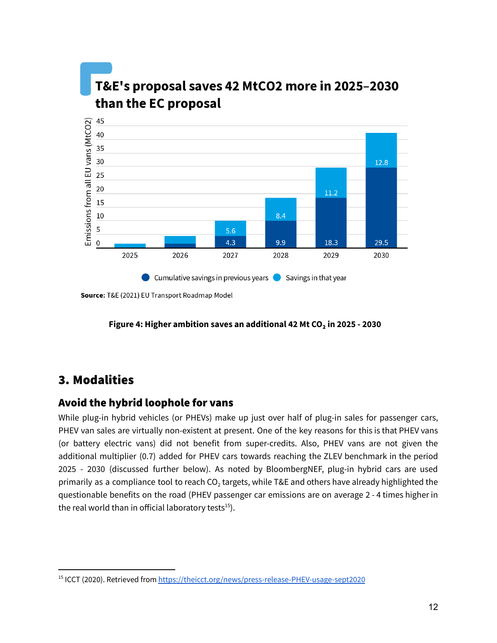

Source: T&E (2021) EU Transport Roadmap Model

### **Figure 4: Higher ambition saves an additional 42 Mt CO₂ in 2025 - 2030**

# 3. Modalities

## Avoid the hybrid loophole for vans

While plug-in hybrid vehicles (or PHEVs) make up just over half of plug-in sales for passenger cars, PHEV van sales are virtually non-existent at present. One of the key reasons for this is that PHEV vans (or battery electric vans) did not benefit from super-credits. Also, PHEV vans are not given the additional multiplier (0.7) added for PHEV cars towards reaching the ZLEV benchmark in the period 2025 - 2030 (discussed further below). As noted by BloombergNEF, plug-in hybrid cars are used primarily as a compliance tool to reach CO<sub>2</sub> targets, while T&E and others have already highlighted the questionable benefits on the road (PHEV passenger car emissions are on average 2 - 4 times higher in the real world than in official laboratory tests<sup>15</sup>).

<sup>&</sup>lt;sup>15</sup> ICCT (2020). Retrieved from <https://theicct.org/news/press-release-PHEV-usage-sept2020>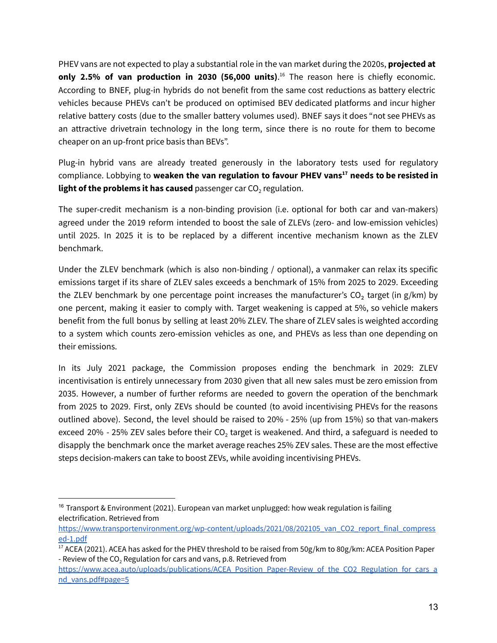PHEV vans are not expected to play a substantial role in the van market during the 2020s, **projected at only 2.5% of van production in 2030 (56,000 units)**. <sup>16</sup> The reason here is chiefly economic. According to BNEF, plug-in hybrids do not benefit from the same cost reductions as battery electric vehicles because PHEVs can't be produced on optimised BEV dedicated platforms and incur higher relative battery costs (due to the smaller battery volumes used). BNEF says it does "not see PHEVs as an attractive drivetrain technology in the long term, since there is no route for them to become cheaper on an up-front price basis than BEVs".

Plug-in hybrid vans are already treated generously in the laboratory tests used for regulatory compliance. Lobbying to **weaken the van regulation to favour PHEV vans <sup>17</sup> needs to be resisted in light of the problems it has caused** passenger car CO<sub>2</sub> regulation.

The super-credit mechanism is a non-binding provision (i.e. optional for both car and van-makers) agreed under the 2019 reform intended to boost the sale of ZLEVs (zero- and low-emission vehicles) until 2025. In 2025 it is to be replaced by a different incentive mechanism known as the ZLEV benchmark.

Under the ZLEV benchmark (which is also non-binding / optional), a vanmaker can relax its specific emissions target if its share of ZLEV sales exceeds a benchmark of 15% from 2025 to 2029. Exceeding the ZLEV benchmark by one percentage point increases the manufacturer's  $CO<sub>2</sub>$  target (in g/km) by one percent, making it easier to comply with. Target weakening is capped at 5%, so vehicle makers benefit from the full bonus by selling at least 20% ZLEV. The share of ZLEV sales is weighted according to a system which counts zero-emission vehicles as one, and PHEVs as less than one depending on their emissions.

In its July 2021 package, the Commission proposes ending the benchmark in 2029: ZLEV incentivisation is entirely unnecessary from 2030 given that all new sales must be zero emission from 2035. However, a number of further reforms are needed to govern the operation of the benchmark from 2025 to 2029. First, only ZEVs should be counted (to avoid incentivising PHEVs for the reasons outlined above). Second, the level should be raised to 20% - 25% (up from 15%) so that van-makers exceed 20% - 25% ZEV sales before their  $CO<sub>2</sub>$  target is weakened. And third, a safeguard is needed to disapply the benchmark once the market average reaches 25% ZEV sales. These are the most effective steps decision-makers can take to boost ZEVs, while avoiding incentivising PHEVs.

 $16$  Transport & Environment (2021). European van market unplugged: how weak regulation is failing electrification. Retrieved from

[https://www.transportenvironment.org/wp-content/uploads/2021/08/202105\\_van\\_CO2\\_report\\_final\\_compress](https://www.transportenvironment.org/wp-content/uploads/2021/08/202105_van_CO2_report_final_compressed-1.pdf) [ed-1.pdf](https://www.transportenvironment.org/wp-content/uploads/2021/08/202105_van_CO2_report_final_compressed-1.pdf)

<sup>&</sup>lt;sup>17</sup> ACEA (2021). ACEA has asked for the PHEV threshold to be raised from 50g/km to 80g/km: ACEA [Position](http://paperpile.com/b/GHFoX3/4Fm1) Paper - Review of the CO<sub>2</sub> [Regulation](http://paperpile.com/b/GHFoX3/4Fm1) for cars and vans, p.8. [Retrieved](http://paperpile.com/b/GHFoX3/4Fm1) from

[https://www.acea.auto/uploads/publications/ACEA\\_Position\\_Paper-Review\\_of\\_the\\_CO2\\_Regulation\\_for\\_cars\\_a](https://www.acea.auto/uploads/publications/ACEA_Position_Paper-Review_of_the_CO2_Regulation_for_cars_and_vans.pdf#page=5) [nd\\_vans.pdf#page=5](https://www.acea.auto/uploads/publications/ACEA_Position_Paper-Review_of_the_CO2_Regulation_for_cars_and_vans.pdf#page=5)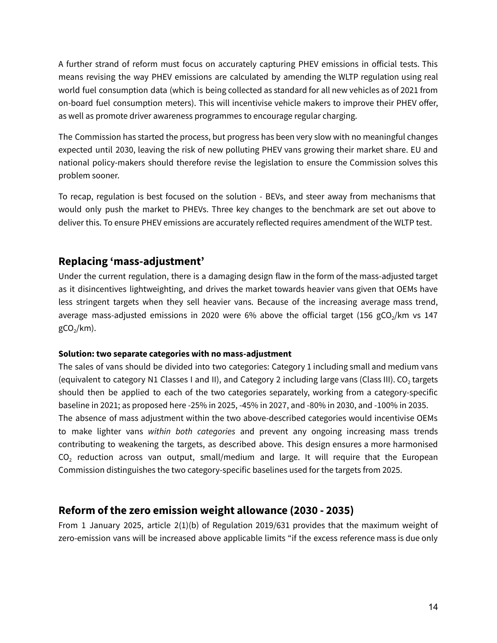A further strand of reform must focus on accurately capturing PHEV emissions in official tests. This means revising the way PHEV emissions are calculated by amending the WLTP regulation using real world fuel consumption data (which is being collected as standard for all new vehicles as of 2021 from on-board fuel consumption meters). This will incentivise vehicle makers to improve their PHEV offer, as well as promote driver awareness programmes to encourage regular charging.

The Commission has started the process, but progress has been very slow with no meaningful changes expected until 2030, leaving the risk of new polluting PHEV vans growing their market share. EU and national policy-makers should therefore revise the legislation to ensure the Commission solves this problem sooner.

To recap, regulation is best focused on the solution - BEVs, and steer away from mechanisms that would only push the market to PHEVs. Three key changes to the benchmark are set out above to deliver this. To ensure PHEV emissions are accurately reflected requires amendment of the WLTP test.

### **Replacing 'mass-adjustment'**

Under the current regulation, there is a damaging design flaw in the form of the mass-adjusted target as it disincentives lightweighting, and drives the market towards heavier vans given that OEMs have less stringent targets when they sell heavier vans. Because of the increasing average mass trend, average mass-adjusted emissions in 2020 were 6% above the official target (156 gCO<sub>2</sub>/km vs 147  $gCO<sub>2</sub>/km$ ).

### **Solution: two separate categories with no mass-adjustment**

The sales of vans should be divided into two categories: Category 1 including small and medium vans (equivalent to category N1 Classes I and II), and Category 2 including large vans (Class III). CO<sub>2</sub> targets should then be applied to each of the two categories separately, working from a category-specific baseline in 2021; as proposed here -25% in 2025, -45% in 2027, and -80% in 2030, and -100% in 2035. The absence of mass adjustment within the two above-described categories would incentivise OEMs to make lighter vans *within both categories* and prevent any ongoing increasing mass trends contributing to weakening the targets, as described above. This design ensures a more harmonised CO<sub>2</sub> reduction across van output, small/medium and large. It will require that the European Commission distinguishes the two category-specific baselines used for the targets from 2025.

### **Reform of the zero emission weight allowance (2030 - 2035)**

From 1 January 2025, article 2(1)(b) of Regulation 2019/631 provides that the maximum weight of zero-emission vans will be increased above applicable limits "if the excess reference mass is due only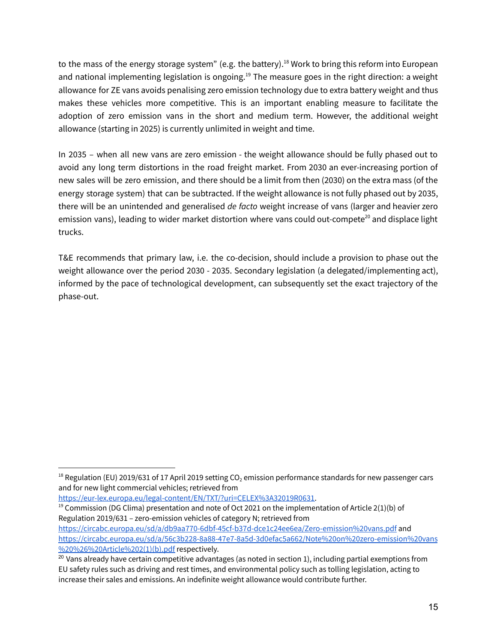to the mass of the energy storage system" (e.g. the battery).<sup>18</sup> Work to bring this reform into European and national implementing legislation is ongoing.<sup>19</sup> The measure goes in the right direction: a weight allowance for ZE vans avoids penalising zero emission technology due to extra battery weight and thus makes these vehicles more competitive. This is an important enabling measure to facilitate the adoption of zero emission vans in the short and medium term. However, the additional weight allowance (starting in 2025) is currently unlimited in weight and time.

In 2035 – when all new vans are zero emission - the weight allowance should be fully phased out to avoid any long term distortions in the road freight market. From 2030 an ever-increasing portion of new sales will be zero emission, and there should be a limit from then (2030) on the extra mass (of the energy storage system) that can be subtracted. If the weight allowance is not fully phased out by 2035, there will be an unintended and generalised *de facto* weight increase of vans (larger and heavier zero emission vans), leading to wider market distortion where vans could out-compete $^{20}$  and displace light trucks.

T&E recommends that primary law, i.e. the co-decision, should include a provision to phase out the weight allowance over the period 2030 - 2035. Secondary legislation (a delegated/implementing act), informed by the pace of technological development, can subsequently set the exact trajectory of the phase-out.

[https://eur-lex.europa.eu/legal-content/EN/TXT/?uri=CELEX%3A32019R0631.](https://eur-lex.europa.eu/legal-content/EN/TXT/?uri=CELEX%3A32019R0631)

<sup>&</sup>lt;sup>18</sup> Regulation (EU) 2019/631 of 17 April 2019 setting CO<sub>2</sub> emission performance standards for new passenger cars and for new light commercial vehicles; retrieved from

<sup>&</sup>lt;sup>19</sup> Commission (DG Clima) presentation and note of Oct 2021 on the implementation of Article 2(1)(b) of Regulation 2019/631 – zero-emission vehicles of category N; retrieved from

<https://circabc.europa.eu/sd/a/db9aa770-6dbf-45cf-b37d-dce1c24ee6ea/Zero-emission%20vans.pdf> and [https://circabc.europa.eu/sd/a/56c3b228-8a88-47e7-8a5d-3d0efac5a662/Note%20on%20zero-emission%20vans](https://circabc.europa.eu/sd/a/56c3b228-8a88-47e7-8a5d-3d0efac5a662/Note%20on%20zero-emission%20vans%20%26%20Article%202(1)(b).pdf) [%20%26%20Article%202\(1\)\(b\).pdf](https://circabc.europa.eu/sd/a/56c3b228-8a88-47e7-8a5d-3d0efac5a662/Note%20on%20zero-emission%20vans%20%26%20Article%202(1)(b).pdf) respectively.

<sup>&</sup>lt;sup>20</sup> Vans already have certain competitive advantages (as noted in section 1), including partial exemptions from EU safety rules such as driving and rest times, and environmental policy such as tolling legislation, acting to increase their sales and emissions. An indefinite weight allowance would contribute further.